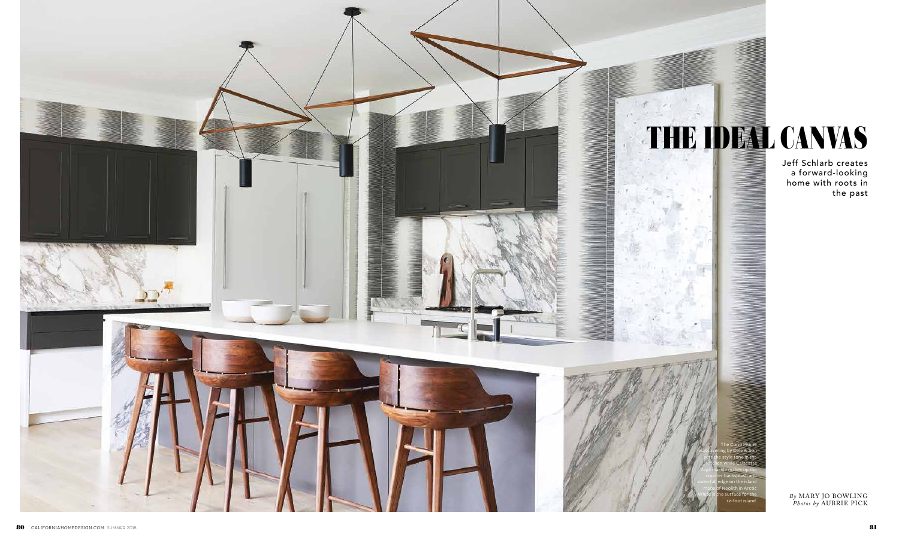*By* MARY JO BOWLING *Photos by* AUBRIE PICK

Jeff Schlarb creates a forward-looking home with roots in the past

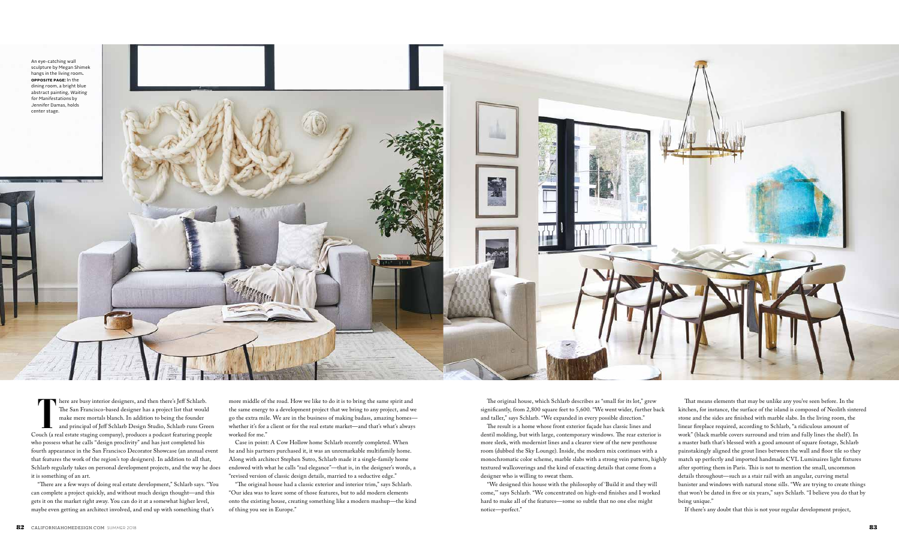**T** here are busy interior designers, and then there's Jeff Schlarb. The San Francisco-based designer has a project list that would make mere mortals blanch. In addition to being the founder and principal of Jeff Schlarb Design Studio, Schlarb runs Green Couch (a real estate staging company), produces a podcast featuring people who possess what he calls "design proclivity" and has just completed his fourth appearance in the San Francisco Decorator Showcase (an annual event that features the work of the region's top designers). In addition to all that, Schlarb regularly takes on personal development projects, and the way he does it is something of an art.

"There are a few ways of doing real estate development," Schlarb says. "You can complete a project quickly, and without much design thought—and this gets it on the market right away. You can do it at a somewhat higher level, maybe even getting an architect involved, and end up with something that's

more middle of the road. How we like to do it is to bring the same spirit and the same energy to a development project that we bring to any project, and we go the extra mile. We are in the business of making badass, amazing homes whether it's for a client or for the real estate market—and that's what's always worked for me."

Case in point: A Cow Hollow home Schlarb recently completed. When he and his partners purchased it, it was an unremarkable multifamily home. Along with architect Stephen Sutro, Schlarb made it a single-family home endowed with what he calls "rad elegance"—that is, in the designer's words, a "revised version of classic design details, married to a seductive edge."

"The original house had a classic exterior and interior trim," says Schlarb. "Our idea was to leave some of those features, but to add modern elements onto the existing house, creating something like a modern mashup—the kind of thing you see in Europe."



The original house, which Schlarb describes as "small for its lot," grew significantly, from 2,800 square feet to 5,600. "We went wider, further back and taller," says Schlarb. "We expanded in every possible direction." The result is a home whose front exterior façade has classic lines and dentil molding, but with large, contemporary windows. The rear exterior is more sleek, with modernist lines and a clearer view of the new penthouse room (dubbed the Sky Lounge). Inside, the modern mix continues with a monochromatic color scheme, marble slabs with a strong vein pattern, highly textured wallcoverings and the kind of exacting details that come from a designer who is willing to sweat them.

"We designed this house with the philosophy of 'Build it and they will come,'" says Schlarb. "We concentrated on high-end finishes and I worked hard to make all of the features—some so subtle that no one else might notice—perfect."

That means elements that may be unlike any you've seen before. In the kitchen, for instance, the surface of the island is composed of Neolith sintered stone and the sides are finished with marble slabs. In the living room, the linear fireplace required, according to Schlarb, "a ridiculous amount of work" (black marble covers surround and trim and fully lines the shelf). In a master bath that's blessed with a good amount of square footage, Schlarb painstakingly aligned the grout lines between the wall and floor tile so they match up perfectly and imported handmade CVL Luminaires light fixtures after spotting them in Paris. This is not to mention the small, uncommon details throughout—such as a stair rail with an angular, curving metal banister and windows with natural stone sills. "We are trying to create things that won't be dated in five or six years," says Schlarb. "I believe you do that by being unique."

If there's any doubt that this is not your regular development project,